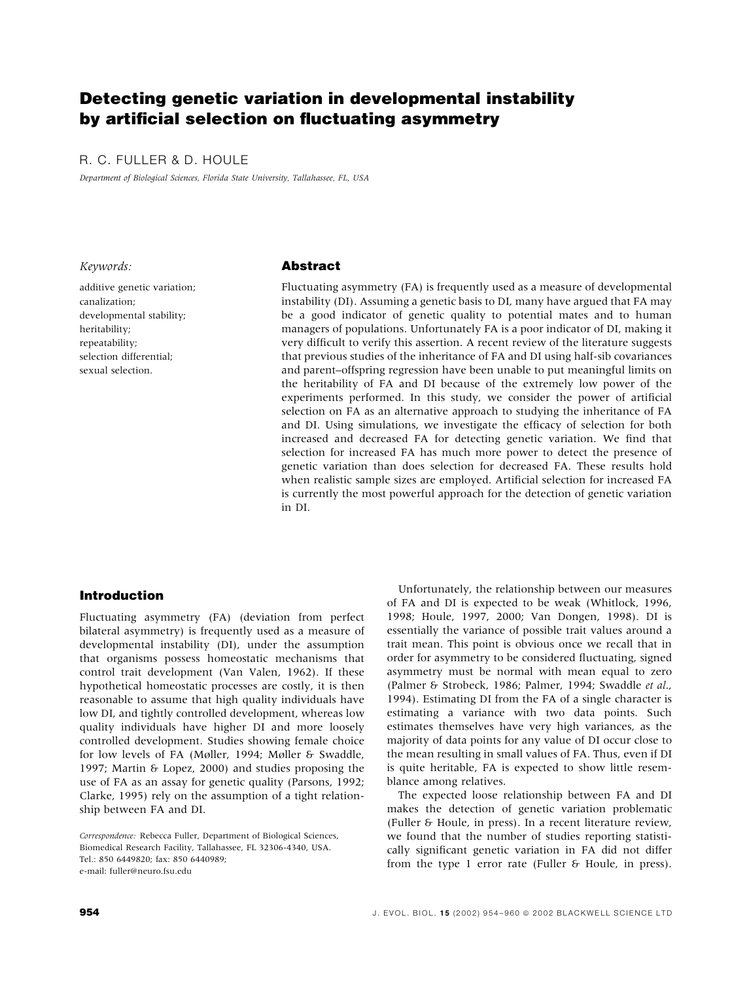# Detecting genetic variation in developmental instability by artificial selection on fluctuating asymmetry

# R. C. FULLER & D. HOULE

Department of Biological Sciences, Florida State University, Tallahassee, FL, USA

## Keywords:

additive genetic variation; canalization; developmental stability; heritability; repeatability; selection differential; sexual selection.

## Abstract

Fluctuating asymmetry (FA) is frequently used as a measure of developmental instability (DI). Assuming a genetic basis to DI, many have argued that FA may be a good indicator of genetic quality to potential mates and to human managers of populations. Unfortunately FA is a poor indicator of DI, making it very difficult to verify this assertion. A recent review of the literature suggests that previous studies of the inheritance of FA and DI using half-sib covariances and parent–offspring regression have been unable to put meaningful limits on the heritability of FA and DI because of the extremely low power of the experiments performed. In this study, we consider the power of artificial selection on FA as an alternative approach to studying the inheritance of FA and DI. Using simulations, we investigate the efficacy of selection for both increased and decreased FA for detecting genetic variation. We find that selection for increased FA has much more power to detect the presence of genetic variation than does selection for decreased FA. These results hold when realistic sample sizes are employed. Artificial selection for increased FA is currently the most powerful approach for the detection of genetic variation in DI.

# Introduction

Fluctuating asymmetry (FA) (deviation from perfect bilateral asymmetry) is frequently used as a measure of developmental instability (DI), under the assumption that organisms possess homeostatic mechanisms that control trait development (Van Valen, 1962). If these hypothetical homeostatic processes are costly, it is then reasonable to assume that high quality individuals have low DI, and tightly controlled development, whereas low quality individuals have higher DI and more loosely controlled development. Studies showing female choice for low levels of FA (Møller, 1994; Møller & Swaddle, 1997; Martin & Lopez, 2000) and studies proposing the use of FA as an assay for genetic quality (Parsons, 1992; Clarke, 1995) rely on the assumption of a tight relationship between FA and DI.

Unfortunately, the relationship between our measures of FA and DI is expected to be weak (Whitlock, 1996, 1998; Houle, 1997, 2000; Van Dongen, 1998). DI is essentially the variance of possible trait values around a trait mean. This point is obvious once we recall that in order for asymmetry to be considered fluctuating, signed asymmetry must be normal with mean equal to zero (Palmer & Strobeck, 1986; Palmer, 1994; Swaddle et al., 1994). Estimating DI from the FA of a single character is estimating a variance with two data points. Such estimates themselves have very high variances, as the majority of data points for any value of DI occur close to the mean resulting in small values of FA. Thus, even if DI is quite heritable, FA is expected to show little resemblance among relatives.

The expected loose relationship between FA and DI makes the detection of genetic variation problematic (Fuller & Houle, in press). In a recent literature review, we found that the number of studies reporting statistically significant genetic variation in FA did not differ from the type 1 error rate (Fuller & Houle, in press).

Correspondence: Rebecca Fuller, Department of Biological Sciences, Biomedical Research Facility, Tallahassee, FL 32306-4340, USA. Tel.: 850 6449820; fax: 850 6440989; e-mail: fuller@neuro.fsu.edu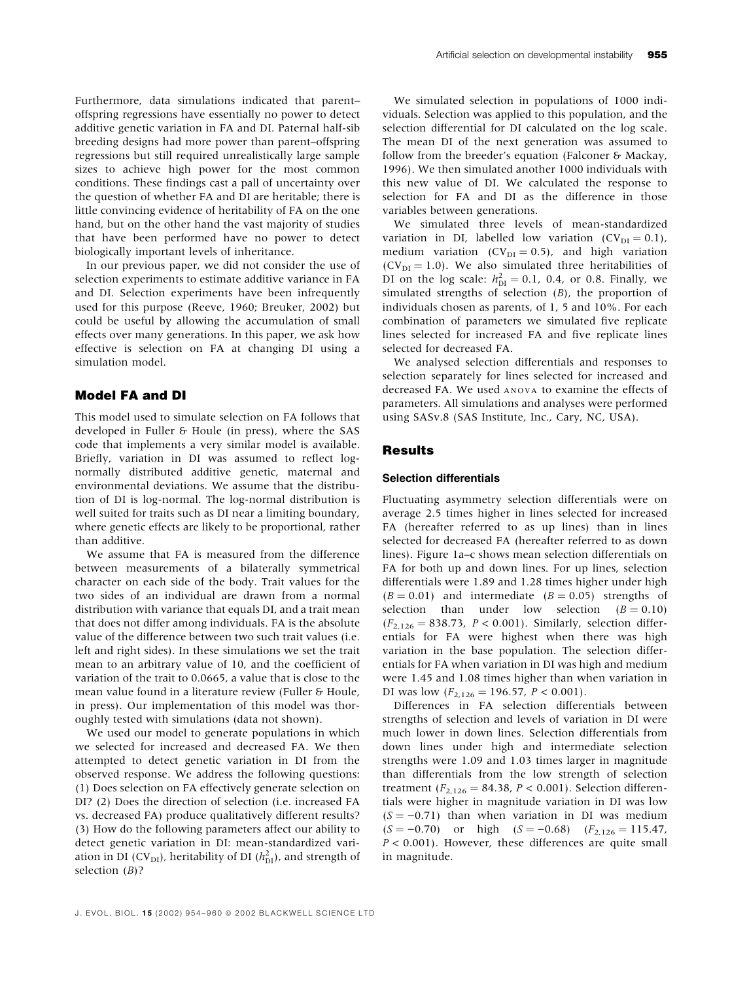Furthermore, data simulations indicated that parent– offspring regressions have essentially no power to detect additive genetic variation in FA and DI. Paternal half-sib breeding designs had more power than parent–offspring regressions but still required unrealistically large sample sizes to achieve high power for the most common conditions. These findings cast a pall of uncertainty over the question of whether FA and DI are heritable; there is little convincing evidence of heritability of FA on the one hand, but on the other hand the vast majority of studies that have been performed have no power to detect biologically important levels of inheritance.

In our previous paper, we did not consider the use of selection experiments to estimate additive variance in FA and DI. Selection experiments have been infrequently used for this purpose (Reeve, 1960; Breuker, 2002) but could be useful by allowing the accumulation of small effects over many generations. In this paper, we ask how effective is selection on FA at changing DI using a simulation model.

# Model FA and DI

This model used to simulate selection on FA follows that developed in Fuller & Houle (in press), where the SAS code that implements a very similar model is available. Briefly, variation in DI was assumed to reflect lognormally distributed additive genetic, maternal and environmental deviations. We assume that the distribution of DI is log-normal. The log-normal distribution is well suited for traits such as DI near a limiting boundary, where genetic effects are likely to be proportional, rather than additive.

We assume that FA is measured from the difference between measurements of a bilaterally symmetrical character on each side of the body. Trait values for the two sides of an individual are drawn from a normal distribution with variance that equals DI, and a trait mean that does not differ among individuals. FA is the absolute value of the difference between two such trait values (i.e. left and right sides). In these simulations we set the trait mean to an arbitrary value of 10, and the coefficient of variation of the trait to 0.0665, a value that is close to the mean value found in a literature review (Fuller & Houle, in press). Our implementation of this model was thoroughly tested with simulations (data not shown).

We used our model to generate populations in which we selected for increased and decreased FA. We then attempted to detect genetic variation in DI from the observed response. We address the following questions: (1) Does selection on FA effectively generate selection on DI? (2) Does the direction of selection (i.e. increased FA vs. decreased FA) produce qualitatively different results? (3) How do the following parameters affect our ability to detect genetic variation in DI: mean-standardized variation in DI (CV<sub>DI</sub>), heritability of DI ( $h_{\rm D I}^2$ ), and strength of selection (B)?

We simulated selection in populations of 1000 individuals. Selection was applied to this population, and the selection differential for DI calculated on the log scale. The mean DI of the next generation was assumed to follow from the breeder's equation (Falconer & Mackay, 1996). We then simulated another 1000 individuals with this new value of DI. We calculated the response to selection for FA and DI as the difference in those variables between generations.

We simulated three levels of mean-standardized variation in DI, labelled low variation  $(CV_{DI} = 0.1)$ , medium variation ( $CV_{DI} = 0.5$ ), and high variation  $(CV<sub>DI</sub> = 1.0)$ . We also simulated three heritabilities of DI on the log scale:  $h_{\text{DI}}^2 = 0.1$ , 0.4, or 0.8. Finally, we simulated strengths of selection  $(B)$ , the proportion of individuals chosen as parents, of 1, 5 and 10%. For each combination of parameters we simulated five replicate lines selected for increased FA and five replicate lines selected for decreased FA.

We analysed selection differentials and responses to selection separately for lines selected for increased and decreased FA. We used ANOVA to examine the effects of parameters. All simulations and analyses were performed using SASv.8 (SAS Institute, Inc., Cary, NC, USA).

## **Results**

#### Selection differentials

Fluctuating asymmetry selection differentials were on average 2.5 times higher in lines selected for increased FA (hereafter referred to as up lines) than in lines selected for decreased FA (hereafter referred to as down lines). Figure 1a–c shows mean selection differentials on FA for both up and down lines. For up lines, selection differentials were 1.89 and 1.28 times higher under high  $(B = 0.01)$  and intermediate  $(B = 0.05)$  strengths of selection than under low selection  $(B = 0.10)$  $(F_{2,126} = 838.73, P < 0.001)$ . Similarly, selection differentials for FA were highest when there was high variation in the base population. The selection differentials for FA when variation in DI was high and medium were 1.45 and 1.08 times higher than when variation in DI was low  $(F_{2,126} = 196.57, P < 0.001)$ .

Differences in FA selection differentials between strengths of selection and levels of variation in DI were much lower in down lines. Selection differentials from down lines under high and intermediate selection strengths were 1.09 and 1.03 times larger in magnitude than differentials from the low strength of selection treatment ( $F_{2,126} = 84.38$ ,  $P < 0.001$ ). Selection differentials were higher in magnitude variation in DI was low  $(S = -0.71)$  than when variation in DI was medium  $(S = -0.70)$  or high  $(S = -0.68)$   $(F_{2,126} = 115.47,$  $P < 0.001$ ). However, these differences are quite small in magnitude.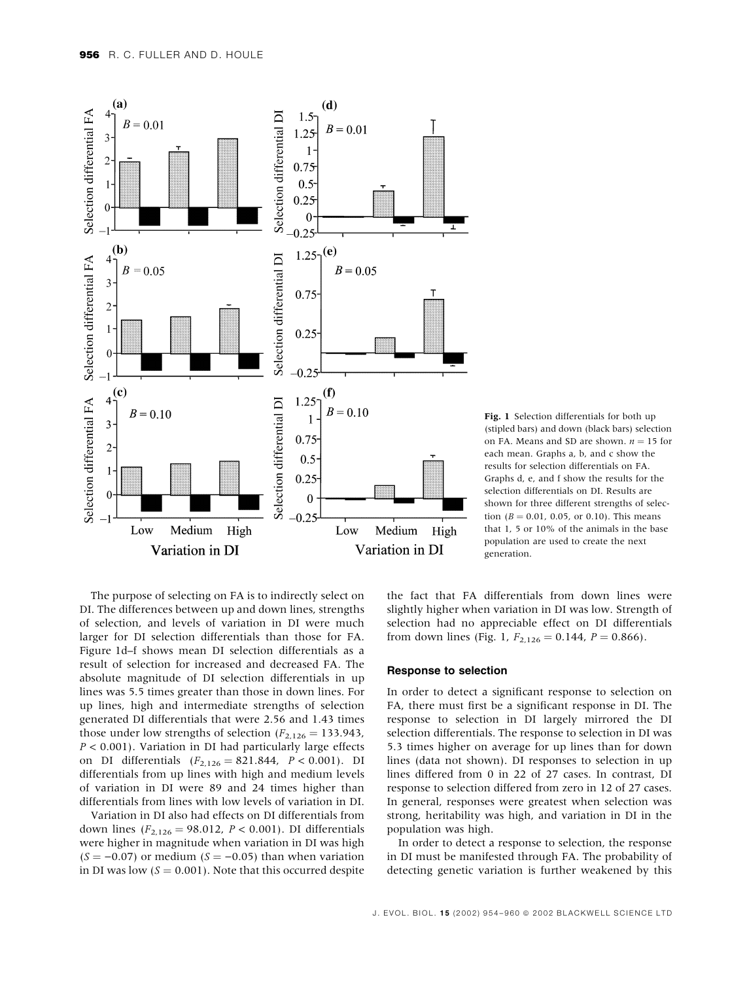

Fig. 1 Selection differentials for both up (stipled bars) and down (black bars) selection on FA. Means and SD are shown.  $n = 15$  for each mean. Graphs a, b, and c show the results for selection differentials on FA. Graphs d, e, and f show the results for the selection differentials on DI. Results are shown for three different strengths of selection ( $B = 0.01$ , 0.05, or 0.10). This means that 1, 5 or 10% of the animals in the base population are used to create the next generation.

The purpose of selecting on FA is to indirectly select on DI. The differences between up and down lines, strengths of selection, and levels of variation in DI were much larger for DI selection differentials than those for FA. Figure 1d–f shows mean DI selection differentials as a result of selection for increased and decreased FA. The absolute magnitude of DI selection differentials in up lines was 5.5 times greater than those in down lines. For up lines, high and intermediate strengths of selection generated DI differentials that were 2.56 and 1.43 times those under low strengths of selection ( $F_{2,126} = 133.943$ ,  $P < 0.001$ ). Variation in DI had particularly large effects on DI differentials  $(F_{2,126} = 821.844, P < 0.001)$ . DI differentials from up lines with high and medium levels of variation in DI were 89 and 24 times higher than differentials from lines with low levels of variation in DI.

Variation in DI also had effects on DI differentials from down lines  $(F_{2,126} = 98.012, P < 0.001)$ . DI differentials were higher in magnitude when variation in DI was high  $(S = -0.07)$  or medium  $(S = -0.05)$  than when variation in DI was low  $(S = 0.001)$ . Note that this occurred despite

the fact that FA differentials from down lines were slightly higher when variation in DI was low. Strength of selection had no appreciable effect on DI differentials from down lines (Fig. 1,  $F_{2,126} = 0.144$ ,  $P = 0.866$ ).

#### Response to selection

In order to detect a significant response to selection on FA, there must first be a significant response in DI. The response to selection in DI largely mirrored the DI selection differentials. The response to selection in DI was 5.3 times higher on average for up lines than for down lines (data not shown). DI responses to selection in up lines differed from 0 in 22 of 27 cases. In contrast, DI response to selection differed from zero in 12 of 27 cases. In general, responses were greatest when selection was strong, heritability was high, and variation in DI in the population was high.

In order to detect a response to selection, the response in DI must be manifested through FA. The probability of detecting genetic variation is further weakened by this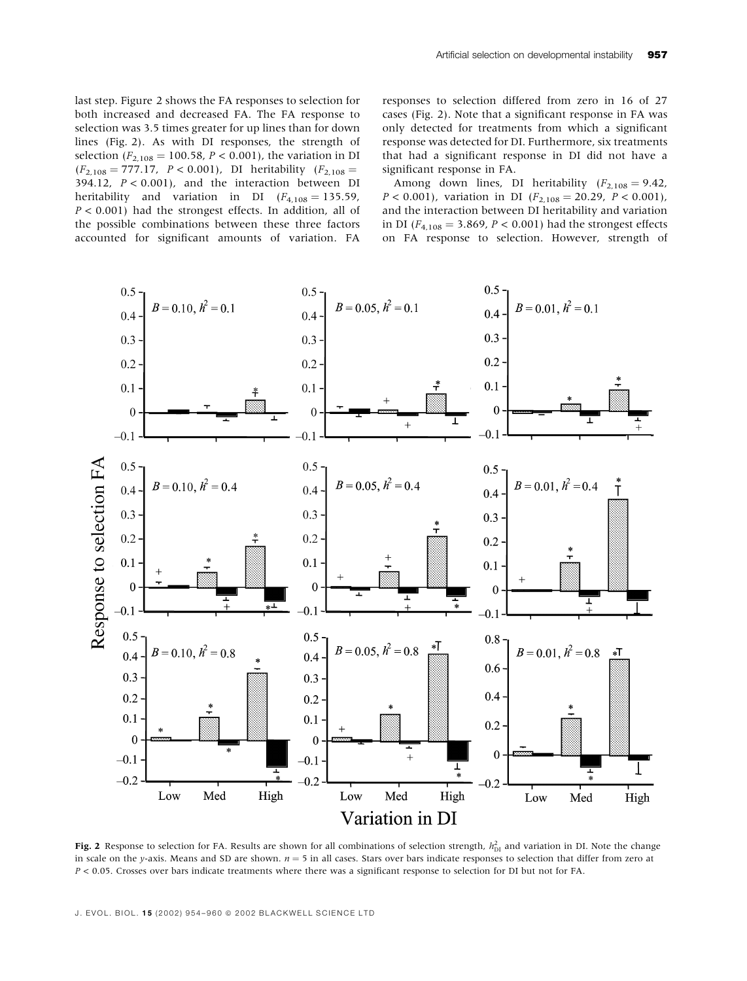last step. Figure 2 shows the FA responses to selection for both increased and decreased FA. The FA response to selection was 3.5 times greater for up lines than for down lines (Fig. 2). As with DI responses, the strength of selection ( $F_{2,108} = 100.58$ ,  $P < 0.001$ ), the variation in DI  $(F_{2,108} = 777.17, P < 0.001)$ , DI heritability  $(F_{2,108} =$ 394.12,  $P < 0.001$ ), and the interaction between DI heritability and variation in DI  $(F_{4,108} = 135.59)$ ,  $P < 0.001$ ) had the strongest effects. In addition, all of the possible combinations between these three factors accounted for significant amounts of variation. FA

responses to selection differed from zero in 16 of 27 cases (Fig. 2). Note that a significant response in FA was only detected for treatments from which a significant response was detected for DI. Furthermore, six treatments that had a significant response in DI did not have a significant response in FA.

Among down lines, DI heritability  $(F_{2,108} = 9.42)$ ,  $P < 0.001$ ), variation in DI ( $F_{2,108} = 20.29$ ,  $P < 0.001$ ), and the interaction between DI heritability and variation in DI ( $F_{4,108}$  = 3.869, P < 0.001) had the strongest effects on FA response to selection. However, strength of



Fig. 2 Response to selection for FA. Results are shown for all combinations of selection strength,  $h_{\rm D I}^2$  and variation in DI. Note the change in scale on the y-axis. Means and SD are shown.  $n = 5$  in all cases. Stars over bars indicate responses to selection that differ from zero at  $P < 0.05$ . Crosses over bars indicate treatments where there was a significant response to selection for DI but not for FA.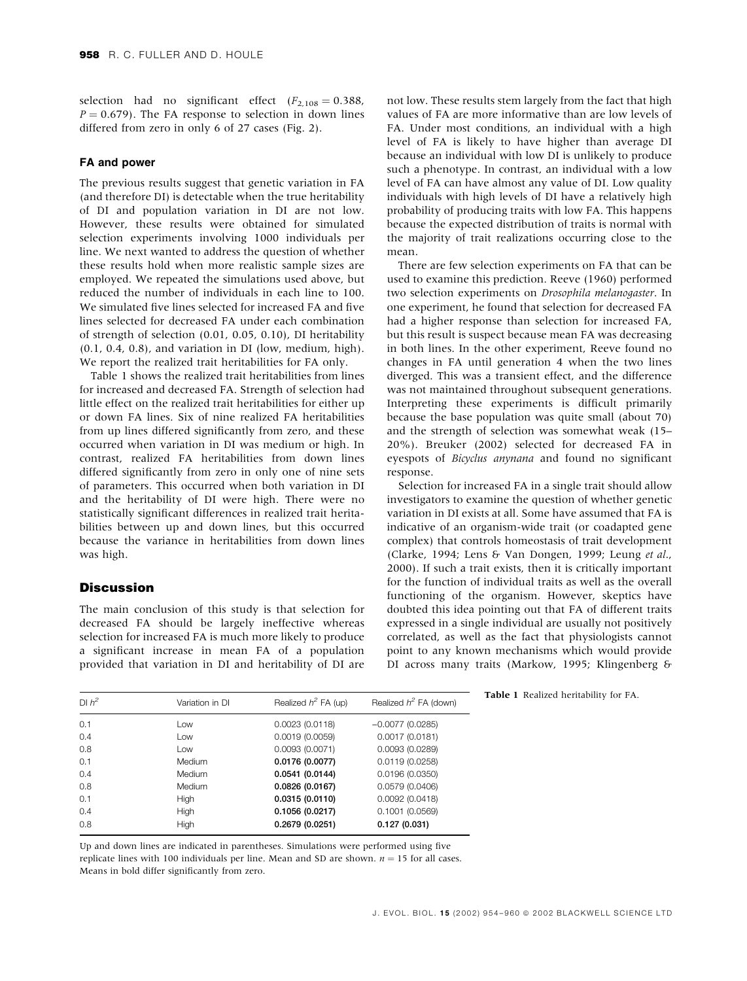selection had no significant effect  $(F_{2,108} = 0.388,$  $P = 0.679$ . The FA response to selection in down lines differed from zero in only 6 of 27 cases (Fig. 2).

## FA and power

The previous results suggest that genetic variation in FA (and therefore DI) is detectable when the true heritability of DI and population variation in DI are not low. However, these results were obtained for simulated selection experiments involving 1000 individuals per line. We next wanted to address the question of whether these results hold when more realistic sample sizes are employed. We repeated the simulations used above, but reduced the number of individuals in each line to 100. We simulated five lines selected for increased FA and five lines selected for decreased FA under each combination of strength of selection (0.01, 0.05, 0.10), DI heritability (0.1, 0.4, 0.8), and variation in DI (low, medium, high). We report the realized trait heritabilities for FA only.

Table 1 shows the realized trait heritabilities from lines for increased and decreased FA. Strength of selection had little effect on the realized trait heritabilities for either up or down FA lines. Six of nine realized FA heritabilities from up lines differed significantly from zero, and these occurred when variation in DI was medium or high. In contrast, realized FA heritabilities from down lines differed significantly from zero in only one of nine sets of parameters. This occurred when both variation in DI and the heritability of DI were high. There were no statistically significant differences in realized trait heritabilities between up and down lines, but this occurred because the variance in heritabilities from down lines was high.

# **Discussion**

The main conclusion of this study is that selection for decreased FA should be largely ineffective whereas selection for increased FA is much more likely to produce a significant increase in mean FA of a population provided that variation in DI and heritability of DI are

not low. These results stem largely from the fact that high values of FA are more informative than are low levels of FA. Under most conditions, an individual with a high level of FA is likely to have higher than average DI because an individual with low DI is unlikely to produce such a phenotype. In contrast, an individual with a low level of FA can have almost any value of DI. Low quality individuals with high levels of DI have a relatively high probability of producing traits with low FA. This happens because the expected distribution of traits is normal with the majority of trait realizations occurring close to the mean.

There are few selection experiments on FA that can be used to examine this prediction. Reeve (1960) performed two selection experiments on Drosophila melanogaster. In one experiment, he found that selection for decreased FA had a higher response than selection for increased FA, but this result is suspect because mean FA was decreasing in both lines. In the other experiment, Reeve found no changes in FA until generation 4 when the two lines diverged. This was a transient effect, and the difference was not maintained throughout subsequent generations. Interpreting these experiments is difficult primarily because the base population was quite small (about 70) and the strength of selection was somewhat weak (15– 20%). Breuker (2002) selected for decreased FA in eyespots of Bicyclus anynana and found no significant response.

Selection for increased FA in a single trait should allow investigators to examine the question of whether genetic variation in DI exists at all. Some have assumed that FA is indicative of an organism-wide trait (or coadapted gene complex) that controls homeostasis of trait development (Clarke, 1994; Lens & Van Dongen, 1999; Leung et al., 2000). If such a trait exists, then it is critically important for the function of individual traits as well as the overall functioning of the organism. However, skeptics have doubted this idea pointing out that FA of different traits expressed in a single individual are usually not positively correlated, as well as the fact that physiologists cannot point to any known mechanisms which would provide DI across many traits (Markow, 1995; Klingenberg &

| $DIh^2$ | Variation in DI | Realized $h^2$ FA (up) | Realized $h^2$ FA (down) |
|---------|-----------------|------------------------|--------------------------|
| 0.1     | Low             | 0.0023(0.0118)         | $-0.0077$ (0.0285)       |
| 0.4     | Low             | 0.0019(0.0059)         | 0.0017(0.0181)           |
| 0.8     | Low             | 0.0093(0.0071)         | 0.0093(0.0289)           |
| 0.1     | Medium          | 0.0176 (0.0077)        | 0.0119(0.0258)           |
| 0.4     | Medium          | 0.0541(0.0144)         | 0.0196(0.0350)           |
| 0.8     | Medium          | 0.0826(0.0167)         | 0.0579(0.0406)           |
| 0.1     | High            | 0.0315(0.0110)         | 0.0092(0.0418)           |
| 0.4     | High            | 0.1056(0.0217)         | 0.1001(0.0569)           |
| 0.8     | High            | 0.2679(0.0251)         | 0.127(0.031)             |

Table 1 Realized heritability for FA.

Up and down lines are indicated in parentheses. Simulations were performed using five replicate lines with 100 individuals per line. Mean and SD are shown.  $n = 15$  for all cases. Means in bold differ significantly from zero.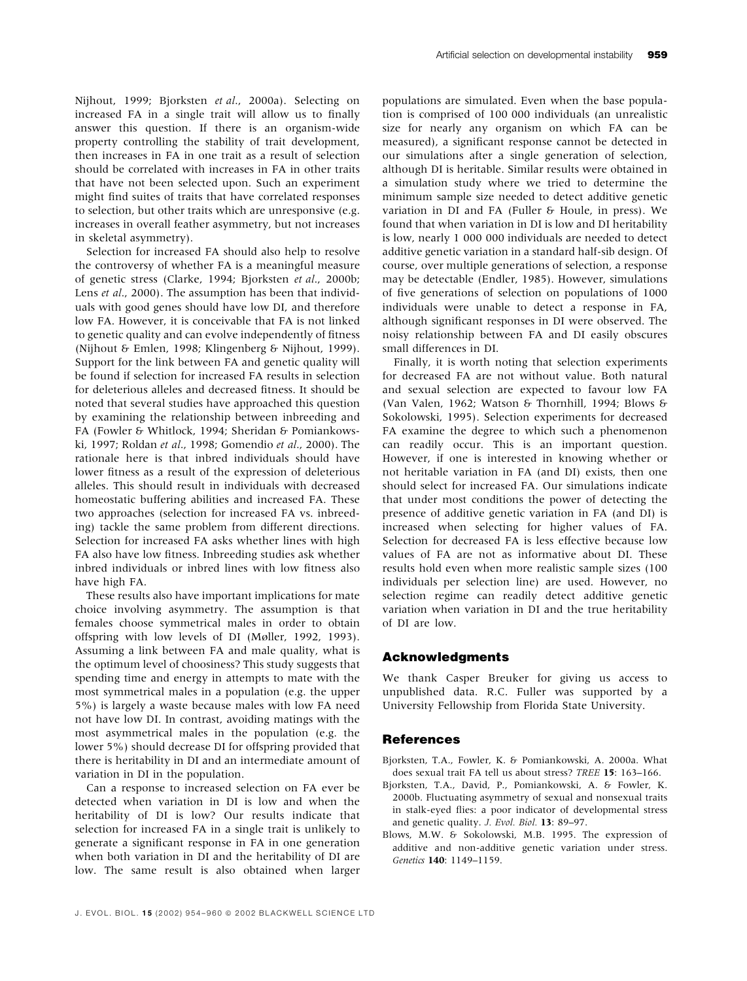Nijhout, 1999; Bjorksten et al., 2000a). Selecting on increased FA in a single trait will allow us to finally answer this question. If there is an organism-wide property controlling the stability of trait development, then increases in FA in one trait as a result of selection should be correlated with increases in FA in other traits that have not been selected upon. Such an experiment might find suites of traits that have correlated responses to selection, but other traits which are unresponsive (e.g. increases in overall feather asymmetry, but not increases in skeletal asymmetry).

Selection for increased FA should also help to resolve the controversy of whether FA is a meaningful measure of genetic stress (Clarke, 1994; Bjorksten et al., 2000b; Lens et al., 2000). The assumption has been that individuals with good genes should have low DI, and therefore low FA. However, it is conceivable that FA is not linked to genetic quality and can evolve independently of fitness (Nijhout & Emlen, 1998; Klingenberg & Nijhout, 1999). Support for the link between FA and genetic quality will be found if selection for increased FA results in selection for deleterious alleles and decreased fitness. It should be noted that several studies have approached this question by examining the relationship between inbreeding and FA (Fowler & Whitlock, 1994; Sheridan & Pomiankowski, 1997; Roldan et al., 1998; Gomendio et al., 2000). The rationale here is that inbred individuals should have lower fitness as a result of the expression of deleterious alleles. This should result in individuals with decreased homeostatic buffering abilities and increased FA. These two approaches (selection for increased FA vs. inbreeding) tackle the same problem from different directions. Selection for increased FA asks whether lines with high FA also have low fitness. Inbreeding studies ask whether inbred individuals or inbred lines with low fitness also have high FA.

These results also have important implications for mate choice involving asymmetry. The assumption is that females choose symmetrical males in order to obtain offspring with low levels of DI (Møller, 1992, 1993). Assuming a link between FA and male quality, what is the optimum level of choosiness? This study suggests that spending time and energy in attempts to mate with the most symmetrical males in a population (e.g. the upper 5%) is largely a waste because males with low FA need not have low DI. In contrast, avoiding matings with the most asymmetrical males in the population (e.g. the lower 5%) should decrease DI for offspring provided that there is heritability in DI and an intermediate amount of variation in DI in the population.

Can a response to increased selection on FA ever be detected when variation in DI is low and when the heritability of DI is low? Our results indicate that selection for increased FA in a single trait is unlikely to generate a significant response in FA in one generation when both variation in DI and the heritability of DI are low. The same result is also obtained when larger

populations are simulated. Even when the base population is comprised of 100 000 individuals (an unrealistic size for nearly any organism on which FA can be measured), a significant response cannot be detected in our simulations after a single generation of selection, although DI is heritable. Similar results were obtained in a simulation study where we tried to determine the minimum sample size needed to detect additive genetic variation in DI and FA (Fuller & Houle, in press). We found that when variation in DI is low and DI heritability is low, nearly 1 000 000 individuals are needed to detect additive genetic variation in a standard half-sib design. Of course, over multiple generations of selection, a response may be detectable (Endler, 1985). However, simulations of five generations of selection on populations of 1000 individuals were unable to detect a response in FA, although significant responses in DI were observed. The noisy relationship between FA and DI easily obscures small differences in DI.

Finally, it is worth noting that selection experiments for decreased FA are not without value. Both natural and sexual selection are expected to favour low FA (Van Valen, 1962; Watson & Thornhill, 1994; Blows & Sokolowski, 1995). Selection experiments for decreased FA examine the degree to which such a phenomenon can readily occur. This is an important question. However, if one is interested in knowing whether or not heritable variation in FA (and DI) exists, then one should select for increased FA. Our simulations indicate that under most conditions the power of detecting the presence of additive genetic variation in FA (and DI) is increased when selecting for higher values of FA. Selection for decreased FA is less effective because low values of FA are not as informative about DI. These results hold even when more realistic sample sizes (100 individuals per selection line) are used. However, no selection regime can readily detect additive genetic variation when variation in DI and the true heritability of DI are low.

#### Acknowledgments

We thank Casper Breuker for giving us access to unpublished data. R.C. Fuller was supported by a University Fellowship from Florida State University.

## References

- Bjorksten, T.A., Fowler, K. & Pomiankowski, A. 2000a. What does sexual trait FA tell us about stress? TREE 15: 163–166.
- Bjorksten, T.A., David, P., Pomiankowski, A. & Fowler, K. 2000b. Fluctuating asymmetry of sexual and nonsexual traits in stalk-eyed flies: a poor indicator of developmental stress and genetic quality. J. Evol. Biol. 13: 89–97.
- Blows, M.W. & Sokolowski, M.B. 1995. The expression of additive and non-additive genetic variation under stress. Genetics 140: 1149–1159.